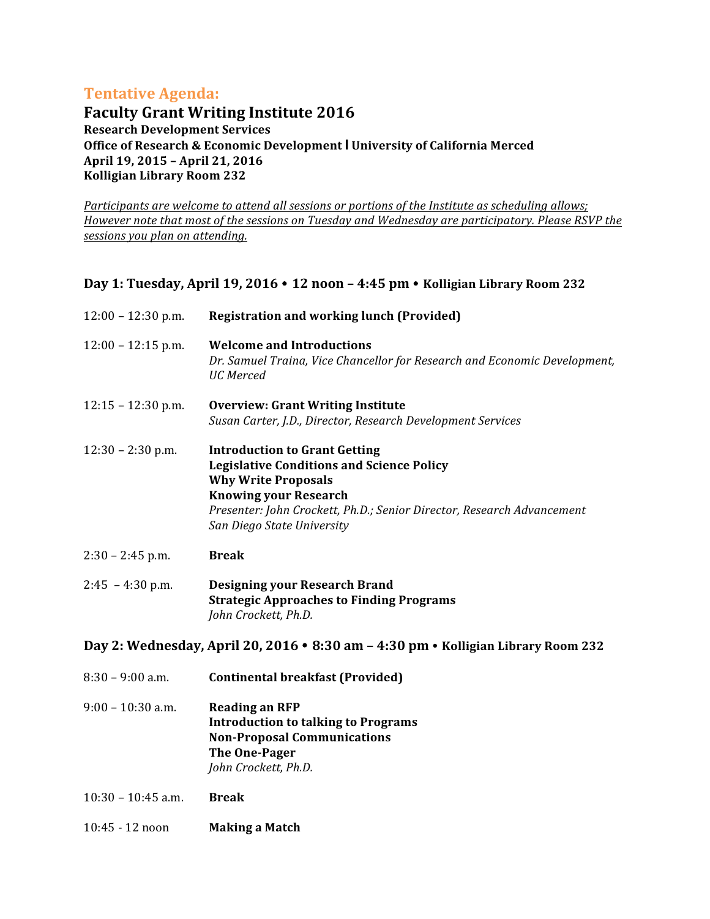## **Tentative Agenda:**

**Faculty Grant Writing Institute 2016 Research Development Services Office of Research & Economic Development I University of California Merced April 19, 2015 – April 21, 2016 Kolligian Library Room 232**

Participants are welcome to attend all sessions or portions of the Institute as scheduling allows; *However note that most of the sessions on Tuesday and Wednesday are participatory. Please RSVP the* sessions you plan on attending.

## **Day 1: Tuesday, April 19, 2016** • 12 noon – 4:45 pm • Kolligian Library Room 232

| $12:00 - 12:30$ p.m. | <b>Registration and working lunch (Provided)</b>                                                                                                                                                                                                               |
|----------------------|----------------------------------------------------------------------------------------------------------------------------------------------------------------------------------------------------------------------------------------------------------------|
| $12:00 - 12:15$ p.m. | <b>Welcome and Introductions</b><br>Dr. Samuel Traina, Vice Chancellor for Research and Economic Development,<br>UC Merced                                                                                                                                     |
| $12:15 - 12:30$ p.m. | <b>Overview: Grant Writing Institute</b><br>Susan Carter, J.D., Director, Research Development Services                                                                                                                                                        |
| $12:30 - 2:30$ p.m.  | <b>Introduction to Grant Getting</b><br><b>Legislative Conditions and Science Policy</b><br><b>Why Write Proposals</b><br><b>Knowing your Research</b><br>Presenter: John Crockett, Ph.D.; Senior Director, Research Advancement<br>San Diego State University |
| $2:30 - 2:45$ p.m.   | <b>Break</b>                                                                                                                                                                                                                                                   |
| $2:45 - 4:30$ p.m.   | <b>Designing your Research Brand</b><br><b>Strategic Approaches to Finding Programs</b><br>John Crockett, Ph.D.                                                                                                                                                |
|                      | Day 2: Wednesday, April 20, 2016 • 8:30 am – 4:30 pm • Kolligian Library Room 232                                                                                                                                                                              |

8:30 – 9:00 a.m. **Continental breakfast (Provided)**

9:00 – 10:30 a.m. **Reading an RFP Introduction to talking to Programs Non-Proposal Communications The One-Pager** *John Crockett, Ph.D.*

- 10:30 – 10:45 a.m. **Break**
- 10:45 12 noon **Making a Match**